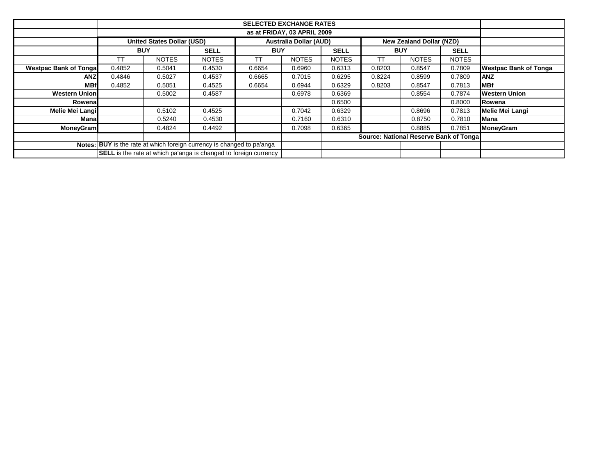|                               |                                                             | <b>SELECTED EXCHANGE RATES</b> |                                                                         |            |              |              |            |                                        |              |                              |  |  |
|-------------------------------|-------------------------------------------------------------|--------------------------------|-------------------------------------------------------------------------|------------|--------------|--------------|------------|----------------------------------------|--------------|------------------------------|--|--|
|                               | as at FRIDAY, 03 APRIL 2009                                 |                                |                                                                         |            |              |              |            |                                        |              |                              |  |  |
|                               | <b>Australia Dollar (AUD)</b><br>United States Dollar (USD) |                                |                                                                         |            |              |              |            | New Zealand Dollar (NZD)               |              |                              |  |  |
|                               | <b>BUY</b>                                                  |                                | <b>SELL</b>                                                             | <b>BUY</b> |              | <b>SELL</b>  | <b>BUY</b> |                                        | <b>SELL</b>  |                              |  |  |
|                               | ТT                                                          | <b>NOTES</b>                   | <b>NOTES</b>                                                            | ТT         | <b>NOTES</b> | <b>NOTES</b> | ТT         | <b>NOTES</b>                           | <b>NOTES</b> |                              |  |  |
| <b>Westpac Bank of Tongal</b> | 0.4852                                                      | 0.5041                         | 0.4530                                                                  | 0.6654     | 0.6960       | 0.6313       | 0.8203     | 0.8547                                 | 0.7809       | <b>Westpac Bank of Tonga</b> |  |  |
| <b>ANZ</b>                    | 0.4846                                                      | 0.5027                         | 0.4537                                                                  | 0.6665     | 0.7015       | 0.6295       | 0.8224     | 0.8599                                 | 0.7809       | <b>ANZ</b>                   |  |  |
| <b>MBf</b>                    | 0.4852                                                      | 0.5051                         | 0.4525                                                                  | 0.6654     | 0.6944       | 0.6329       | 0.8203     | 0.8547                                 | 0.7813       | <b>MBf</b>                   |  |  |
| <b>Western Union</b>          |                                                             | 0.5002                         | 0.4587                                                                  |            | 0.6978       | 0.6369       |            | 0.8554                                 | 0.7874       | <b>Western Union</b>         |  |  |
| Rowenal                       |                                                             |                                |                                                                         |            |              | 0.6500       |            |                                        | 0.8000       | Rowena                       |  |  |
| Melie Mei Langi               |                                                             | 0.5102                         | 0.4525                                                                  |            | 0.7042       | 0.6329       |            | 0.8696                                 | 0.7813       | <b>Melie Mei Langi</b>       |  |  |
| Manal                         |                                                             | 0.5240                         | 0.4530                                                                  |            | 0.7160       | 0.6310       |            | 0.8750                                 | 0.7810       | <b>Mana</b>                  |  |  |
| <b>MoneyGram</b>              |                                                             | 0.4824                         | 0.4492                                                                  |            | 0.7098       | 0.6365       |            | 0.8885                                 | 0.7851       | <b>MoneyGram</b>             |  |  |
|                               |                                                             |                                |                                                                         |            |              |              |            | Source: National Reserve Bank of Tonga |              |                              |  |  |
|                               |                                                             |                                | Notes: BUY is the rate at which foreign currency is changed to pa'anga  |            |              |              |            |                                        |              |                              |  |  |
|                               |                                                             |                                | <b>SELL</b> is the rate at which pa'anga is changed to foreign currency |            |              |              |            |                                        |              |                              |  |  |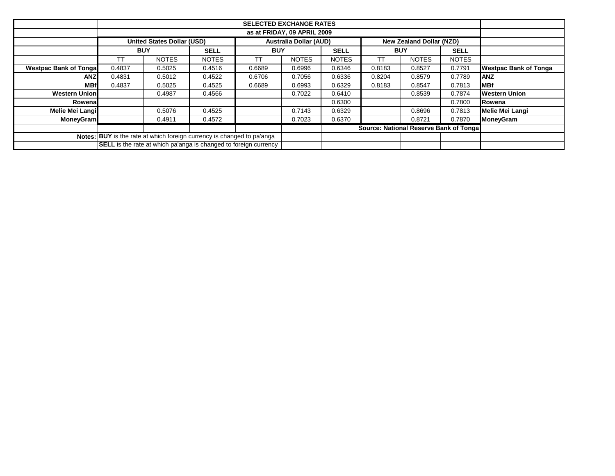|                               | <b>SELECTED EXCHANGE RATES</b>         |                                                                         |              |                                 |              |              |            |              |              |                              |  |
|-------------------------------|----------------------------------------|-------------------------------------------------------------------------|--------------|---------------------------------|--------------|--------------|------------|--------------|--------------|------------------------------|--|
|                               | as at FRIDAY, 09 APRIL 2009            |                                                                         |              |                                 |              |              |            |              |              |                              |  |
|                               | <b>United States Dollar (USD)</b>      | <b>Australia Dollar (AUD)</b>                                           |              | <b>New Zealand Dollar (NZD)</b> |              |              |            |              |              |                              |  |
|                               | <b>BUY</b>                             |                                                                         | <b>SELL</b>  | <b>BUY</b>                      |              | <b>SELL</b>  | <b>BUY</b> |              | <b>SELL</b>  |                              |  |
|                               | П                                      | <b>NOTES</b>                                                            | <b>NOTES</b> | ТT                              | <b>NOTES</b> | <b>NOTES</b> | ТΤ         | <b>NOTES</b> | <b>NOTES</b> |                              |  |
| <b>Westpac Bank of Tongal</b> | 0.4837                                 | 0.5025                                                                  | 0.4516       | 0.6689                          | 0.6996       | 0.6346       | 0.8183     | 0.8527       | 0.7791       | <b>Westpac Bank of Tonga</b> |  |
| <b>ANZ</b>                    | 0.4831                                 | 0.5012                                                                  | 0.4522       | 0.6706                          | 0.7056       | 0.6336       | 0.8204     | 0.8579       | 0.7789       | <b>ANZ</b>                   |  |
| <b>MBf</b>                    | 0.4837                                 | 0.5025                                                                  | 0.4525       | 0.6689                          | 0.6993       | 0.6329       | 0.8183     | 0.8547       | 0.7813       | <b>MBf</b>                   |  |
| <b>Western Union</b>          |                                        | 0.4987                                                                  | 0.4566       |                                 | 0.7022       | 0.6410       |            | 0.8539       | 0.7874       | <b>Western Union</b>         |  |
| Rowenal                       |                                        |                                                                         |              |                                 |              | 0.6300       |            |              | 0.7800       | <b>IRowena</b>               |  |
| <b>Melie Mei Langi</b>        |                                        | 0.5076                                                                  | 0.4525       |                                 | 0.7143       | 0.6329       |            | 0.8696       | 0.7813       | <b>Melie Mei Langi</b>       |  |
| <b>MoneyGram</b>              |                                        | 0.4911                                                                  | 0.4572       |                                 | 0.7023       | 0.6370       |            | 0.8721       | 0.7870       | <b>MoneyGram</b>             |  |
|                               | Source: National Reserve Bank of Tonga |                                                                         |              |                                 |              |              |            |              |              |                              |  |
|                               |                                        | Notes: BUY is the rate at which foreign currency is changed to pa'anga  |              |                                 |              |              |            |              |              |                              |  |
|                               |                                        | <b>SELL</b> is the rate at which pa'anga is changed to foreign currency |              |                                 |              |              |            |              |              |                              |  |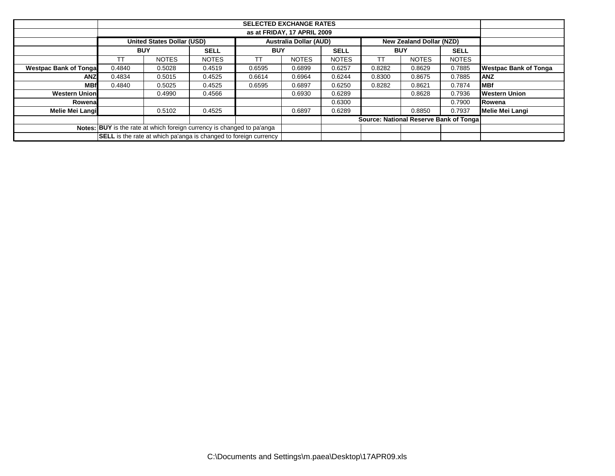|                               | <b>SELECTED EXCHANGE RATES</b> |                                   |                                                                         |            |                               |              |                                        |                                 |              |                              |  |  |
|-------------------------------|--------------------------------|-----------------------------------|-------------------------------------------------------------------------|------------|-------------------------------|--------------|----------------------------------------|---------------------------------|--------------|------------------------------|--|--|
|                               |                                | as at FRIDAY, 17 APRIL 2009       |                                                                         |            |                               |              |                                        |                                 |              |                              |  |  |
|                               |                                | <b>United States Dollar (USD)</b> |                                                                         |            | <b>Australia Dollar (AUD)</b> |              |                                        | <b>New Zealand Dollar (NZD)</b> |              |                              |  |  |
|                               | <b>BUY</b>                     |                                   | <b>SELL</b>                                                             | <b>BUY</b> |                               | <b>SELL</b>  | <b>BUY</b>                             |                                 | <b>SELL</b>  |                              |  |  |
|                               | ТT                             | <b>NOTES</b>                      | <b>NOTES</b>                                                            | ТT         | <b>NOTES</b>                  | <b>NOTES</b> | ТΤ                                     | <b>NOTES</b>                    | <b>NOTES</b> |                              |  |  |
| <b>Westpac Bank of Tongal</b> | 0.4840                         | 0.5028                            | 0.4519                                                                  | 0.6595     | 0.6899                        | 0.6257       | 0.8282                                 | 0.8629                          | 0.7885       | <b>Westpac Bank of Tonga</b> |  |  |
| <b>ANZ</b>                    | 0.4834                         | 0.5015                            | 0.4525                                                                  | 0.6614     | 0.6964                        | 0.6244       | 0.8300                                 | 0.8675                          | 0.7885       | <b>ANZ</b>                   |  |  |
| <b>MBf</b>                    | 0.4840                         | 0.5025                            | 0.4525                                                                  | 0.6595     | 0.6897                        | 0.6250       | 0.8282                                 | 0.8621                          | 0.7874       | <b>IMBf</b>                  |  |  |
| <b>Western Union</b>          | 0.4566<br>0.4990               |                                   |                                                                         |            | 0.6930                        | 0.6289       |                                        | 0.8628                          | 0.7936       | <b>Western Union</b>         |  |  |
| Rowenal                       |                                |                                   |                                                                         |            |                               | 0.6300       |                                        |                                 | 0.7900       | <b>Rowena</b>                |  |  |
| <b>Melie Mei Langi</b>        |                                | 0.5102                            | 0.4525                                                                  |            | 0.6897                        | 0.6289       |                                        | 0.8850                          | 0.7937       | <b>Melie Mei Langi</b>       |  |  |
|                               |                                |                                   |                                                                         |            |                               |              | Source: National Reserve Bank of Tonga |                                 |              |                              |  |  |
|                               |                                |                                   | Notes: BUY is the rate at which foreign currency is changed to pa'anga  |            |                               |              |                                        |                                 |              |                              |  |  |
|                               |                                |                                   | <b>SELL</b> is the rate at which pa'anga is changed to foreign currency |            |                               |              |                                        |                                 |              |                              |  |  |